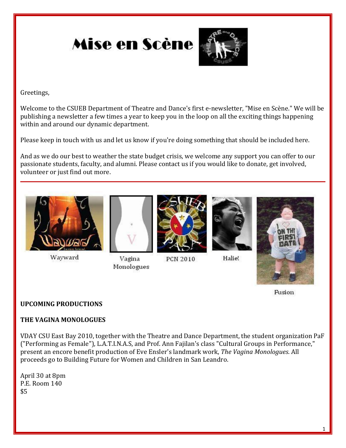

Greetings,

Welcome to the CSUEB Department of Theatre and Dance's first e-newsletter, "Mise en Scène." We will be publishing a newsletter a few times a year to keep you in the loop on all the exciting things happening within and around our dynamic department.

Please keep in touch with us and let us know if you're doing something that should be included here.

And as we do our best to weather the state budget crisis, we welcome any support you can offer to our passionate students, faculty, and alumni. Please contact us if you would like to donate, get involved, volunteer or just find out more.



Wayward



Vagina Monologues



**PCN 2010** 



Halie!



Fusion

## **UPCOMING PRODUCTIONS**

#### **THE VAGINA MONOLOGUES**

VDAY CSU East Bay 2010, together with the Theatre and Dance Department, the student organization PaF ("Performing as Female"), L.A.T.I.N.A.S, and Prof. Ann Fajilan's class "Cultural Groups in Performance," present an encore benefit production of Eve Ensler's landmark work, *The Vagina Monologues*. All proceeds go to Building Future for Women and Children in San Leandro.

April 30 at 8pm P.E. Room 140 \$5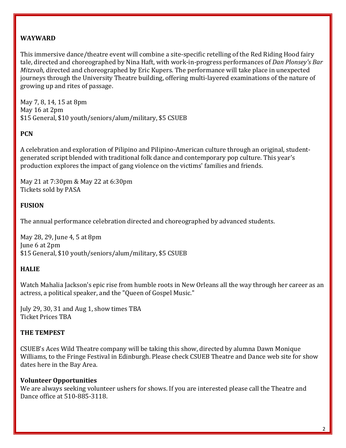## **WAYWARD**

This immersive dance/theatre event will combine a site-specific retelling of the Red Riding Hood fairy tale, directed and choreographed by Nina Haft, with work-in-progress performances of *Dan Plonsey's Bar Mitzvah*, directed and choreographed by Eric Kupers. The performance will take place in unexpected journeys through the University Theatre building, offering multi-layered examinations of the nature of growing up and rites of passage.

May 7, 8, 14, 15 at 8pm May 16 at 2pm \$15 General, \$10 youth/seniors/alum/military, \$5 CSUEB

### **PCN**

A celebration and exploration of Pilipino and Pilipino-American culture through an original, studentgenerated script blended with traditional folk dance and contemporary pop culture. This year's production explores the impact of gang violence on the victims' families and friends.

May 21 at 7:30pm & May 22 at 6:30pm Tickets sold by PASA

## **FUSION**

The annual performance celebration directed and choreographed by advanced students.

May 28, 29, June 4, 5 at 8pm June 6 at 2pm \$15 General, \$10 youth/seniors/alum/military, \$5 CSUEB

## **HALIE**

Watch Mahalia Jackson's epic rise from humble roots in New Orleans all the way through her career as an actress, a political speaker, and the "Queen of Gospel Music."

July 29, 30, 31 and Aug 1, show times TBA Ticket Prices TBA

## **THE TEMPEST**

CSUEB's Aces Wild Theatre company will be taking this show, directed by alumna Dawn Monique Williams, to the Fringe Festival in Edinburgh. Please check CSUEB Theatre and Dance web site for show dates here in the Bay Area.

#### **Volunteer Opportunities**

We are always seeking volunteer ushers for shows. If you are interested please call the Theatre and Dance office at 510-885-3118.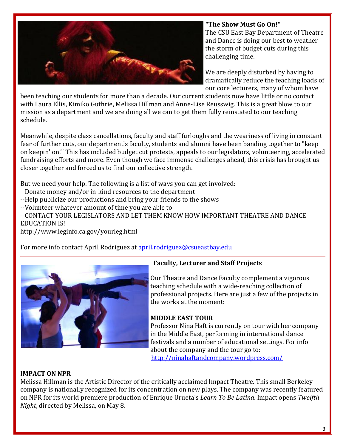

## **"The Show Must Go On!"**

The CSU East Bay Department of Theatre and Dance is doing our best to weather the storm of budget cuts during this challenging time.

We are deeply disturbed by having to dramatically reduce the teaching loads of our core lecturers, many of whom have

been teaching our students for more than a decade. Our current students now have little or no contact with Laura Ellis, Kimiko Guthrie, Melissa Hillman and Anne-Lise Reusswig. This is a great blow to our mission as a department and we are doing all we can to get them fully reinstated to our teaching schedule.

Meanwhile, despite class cancellations, faculty and staff furloughs and the weariness of living in constant fear of further cuts, our department's faculty, students and alumni have been banding together to "keep on keepin' on!" This has included budget cut protests, appeals to our legislators, volunteering, accelerated fundraising efforts and more. Even though we face immense challenges ahead, this crisis has brought us closer together and forced us to find our collective strength.

But we need your help. The following is a list of ways you can get involved:

--Donate money and/or in-kind resources to the department

--Help publicize our productions and bring your friends to the shows

--Volunteer whatever amount of time you are able to

--CONTACT YOUR LEGISLATORS AND LET THEM KNOW HOW IMPORTANT THEATRE AND DANCE EDUCATION IS!

http://www.leginfo.ca.gov/yourleg.html

For more info contact April Rodriguez at [april.rodriguez@csueastbay.edu](mailto:april.rodriguez@csueastbay.edu)



# **Faculty, Lecturer and Staff Projects**

Our Theatre and Dance Faculty complement a vigorous teaching schedule with a wide-reaching collection of professional projects. Here are just a few of the projects in the works at the moment:

# **MIDDLE EAST TOUR**

Professor Nina Haft is currently on tour with her company in the Middle East, performing in international dance festivals and a number of educational settings. For info about the company and the tour go to: <http://ninahaftandcompany.wordpress.com/>

## **IMPACT ON NPR**

Melissa Hillman is the Artistic Director of the critically acclaimed Impact Theatre. This small Berkeley company is nationally recognized for its concentration on new plays. The company was recently featured on NPR for its world premiere production of Enrique Urueta's *Learn To Be Latina*. Impact opens *Twelfth Night*, directed by Melissa, on May 8.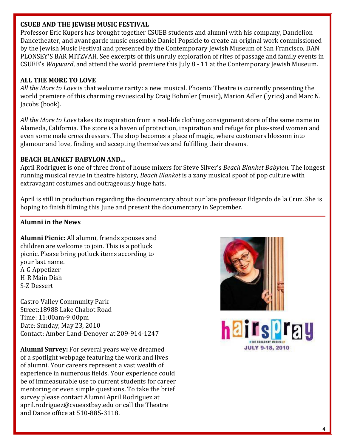### **CSUEB AND THE JEWISH MUSIC FESTIVAL**

Professor Eric Kupers has brought together CSUEB students and alumni with his company, Dandelion Dancetheater, and avant garde music ensemble Daniel Popsicle to create an original work commissioned by the Jewish Music Festival and presented by the Contemporary Jewish Museum of San Francisco, DAN PLONSEY'S BAR MITZVAH. See excerpts of this unruly exploration of rites of passage and family events in CSUEB's *Wayward*, and attend the world premiere this July 8 - 11 at the Contemporary Jewish Museum.

# **ALL THE MORE TO LOVE**

*All the More to Love* is that welcome rarity: a new musical. Phoenix Theatre is currently presenting the world premiere of this charming revuesical by Craig Bohmler (music), Marion Adler (lyrics) and Marc N. Jacobs (book).

*All the More to Love* takes its inspiration from a real-life clothing consignment store of the same name in Alameda, California. The store is a haven of protection, inspiration and refuge for plus-sized women and even some male cross dressers. The shop becomes a place of magic, where customers blossom into glamour and love, finding and accepting themselves and fulfilling their dreams.

## **BEACH BLANKET BABYLON AND...**

April Rodriguez is one of three front of house mixers for Steve Silver's *Beach Blanket Babylon*. The longest running musical revue in theatre history, *Beach Blanket* is a zany musical spoof of pop culture with extravagant costumes and outrageously huge hats.

April is still in production regarding the documentary about our late professor Edgardo de la Cruz. She is hoping to finish filming this June and present the documentary in September.

## **Alumni in the News**

**Alumni Picnic:** All alumni, friends spouses and children are welcome to join. This is a potluck picnic. Please bring potluck items according to your last name. A-G Appetizer H-R Main Dish S-Z Dessert

Castro Valley Community Park Street:18988 Lake Chabot Road Time: 11:00am-9:00pm Date: Sunday, May 23, 2010 Contact: Amber Land-Denoyer at 209-914-1247

**Alumni Survey:** For several years we've dreamed of a spotlight webpage featuring the work and lives of alumni. Your careers represent a vast wealth of experience in numerous fields. Your experience could be of immeasurable use to current students for career mentoring or even simple questions. To take the brief survey please contact Alumni April Rodriguez at april.rodriguez@csueastbay.edu or call the Theatre and Dance office at 510-885-3118.



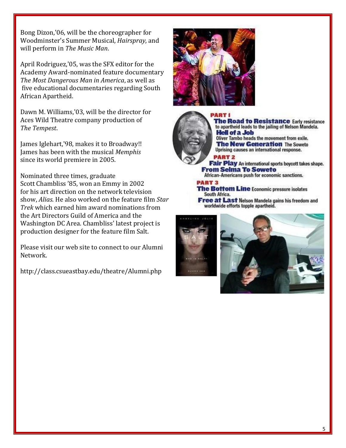Bong Dizon,'06, will be the choreographer for Woodminster's Summer Musical, *Hairspray*, and will perform in *The Music Man*.

April Rodriguez,'05, was the SFX editor for the Academy Award-nominated feature documentary *The Most Dangerous Man in America*, as well as five educational documentaries regarding South African Apartheid.

Dawn M. Williams,'03, will be the director for Aces Wild Theatre company production of *The Tempest*.

James Iglehart,'98, makes it to Broadway!! James has been with the musical *Memphis* since its world premiere in 2005.

Nominated three times, graduate Scott Chambliss '85, won an Emmy in 2002 for his art direction on the network television show, *Alias*. He also worked on the feature film *Star Trek* which earned him award nominations from the Art Directors Guild of America and the Washington DC Area. Chambliss' latest project is production designer for the feature film Salt.

Please visit our web site to connect to our Alumni Network.

http://class.csueastbay.edu/theatre/Alumni.php





**The Road to Resistance Early resistance** to apartheid leads to the jailing of Nelson Mandela. **Hell of a Job** Oliver Tambo heads the movement from exile. **The New Generation The Soweto** 

Uprising causes an international response.

#### **PART 2**

Fair Play An international sports boycott takes shape. **From Selma To Soweto** 

African-Americans push for economic sanctions.

#### **PART 3**

The Bottom Line Economic pressure isolates South Africa.

**Free at Last Nelson Mandela gains his freedom and** worldwide efforts topple apartheid.

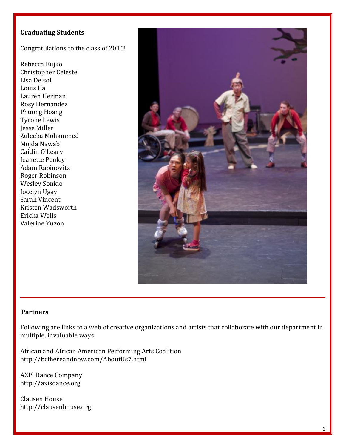## **Graduating Students**

Congratulations to the class of 2010!

Rebecca Bujko Christopher Celeste Lisa Delsol Louis Ha Lauren Herman Rosy Hernandez Phuong Hoang Tyrone Lewis Jesse Miller Zuleeka Mohammed Mojda Nawabi Caitlin O'Leary Jeanette Penley Adam Rabinovitz Roger Robinson Wesley Sonido Jocelyn Ugay Sarah Vincent Kristen Wadsworth Ericka Wells Valerine Yuzon



#### **Partners**

Following are links to a web of creative organizations and artists that collaborate with our department in multiple, invaluable ways:

African and African American Performing Arts Coalition http://bcfhereandnow.com/AboutUs7.html

AXIS Dance Company http://axisdance.org

Clausen House http://clausenhouse.org